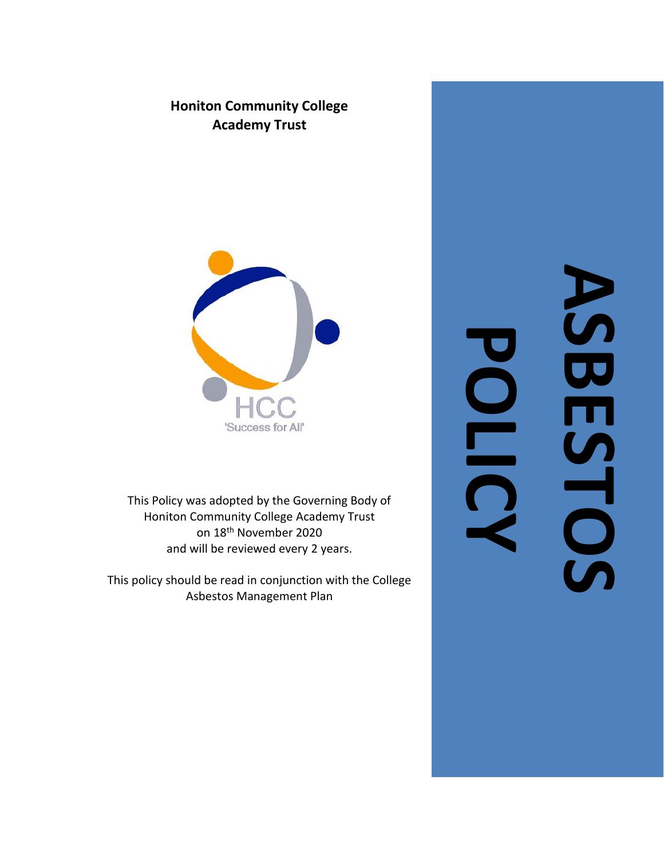



This Policy was adopted by the Governing Body of Honiton Community College Academy Trust on 18th November 2020 and will be reviewed every 2 years.

This policy should be read in conjunction with the College Asbestos Management Plan

**ASBESTOS POLICY**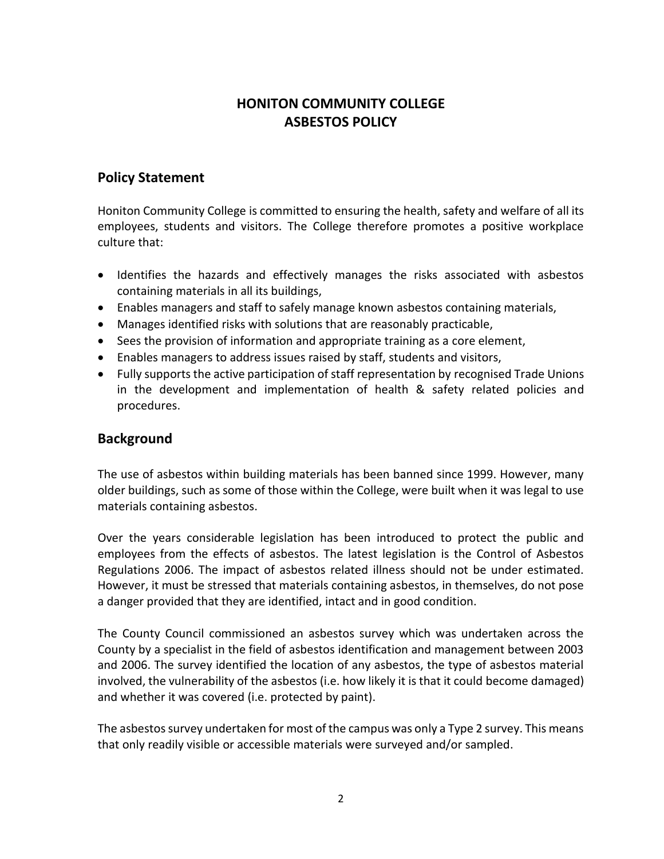# **HONITON COMMUNITY COLLEGE ASBESTOS POLICY**

### **Policy Statement**

Honiton Community College is committed to ensuring the health, safety and welfare of all its employees, students and visitors. The College therefore promotes a positive workplace culture that:

- Identifies the hazards and effectively manages the risks associated with asbestos containing materials in all its buildings,
- Enables managers and staff to safely manage known asbestos containing materials,
- Manages identified risks with solutions that are reasonably practicable,
- Sees the provision of information and appropriate training as a core element,
- Enables managers to address issues raised by staff, students and visitors,
- Fully supports the active participation of staff representation by recognised Trade Unions in the development and implementation of health & safety related policies and procedures.

#### **Background**

The use of asbestos within building materials has been banned since 1999. However, many older buildings, such as some of those within the College, were built when it was legal to use materials containing asbestos.

Over the years considerable legislation has been introduced to protect the public and employees from the effects of asbestos. The latest legislation is the Control of Asbestos Regulations 2006. The impact of asbestos related illness should not be under estimated. However, it must be stressed that materials containing asbestos, in themselves, do not pose a danger provided that they are identified, intact and in good condition.

The County Council commissioned an asbestos survey which was undertaken across the County by a specialist in the field of asbestos identification and management between 2003 and 2006. The survey identified the location of any asbestos, the type of asbestos material involved, the vulnerability of the asbestos (i.e. how likely it is that it could become damaged) and whether it was covered (i.e. protected by paint).

The asbestos survey undertaken for most of the campus was only a Type 2 survey. This means that only readily visible or accessible materials were surveyed and/or sampled.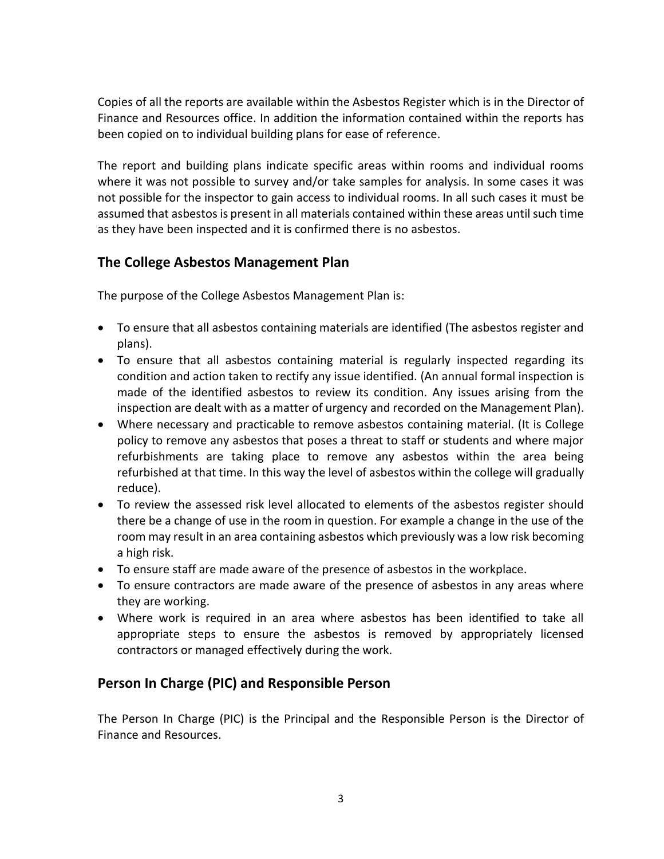Copies of all the reports are available within the Asbestos Register which is in the Director of Finance and Resources office. In addition the information contained within the reports has been copied on to individual building plans for ease of reference.

The report and building plans indicate specific areas within rooms and individual rooms where it was not possible to survey and/or take samples for analysis. In some cases it was not possible for the inspector to gain access to individual rooms. In all such cases it must be assumed that asbestos is present in all materials contained within these areas until such time as they have been inspected and it is confirmed there is no asbestos.

## **The College Asbestos Management Plan**

The purpose of the College Asbestos Management Plan is:

- To ensure that all asbestos containing materials are identified (The asbestos register and plans).
- To ensure that all asbestos containing material is regularly inspected regarding its condition and action taken to rectify any issue identified. (An annual formal inspection is made of the identified asbestos to review its condition. Any issues arising from the inspection are dealt with as a matter of urgency and recorded on the Management Plan).
- Where necessary and practicable to remove asbestos containing material. (It is College policy to remove any asbestos that poses a threat to staff or students and where major refurbishments are taking place to remove any asbestos within the area being refurbished at that time. In this way the level of asbestos within the college will gradually reduce).
- To review the assessed risk level allocated to elements of the asbestos register should there be a change of use in the room in question. For example a change in the use of the room may result in an area containing asbestos which previously was a low risk becoming a high risk.
- To ensure staff are made aware of the presence of asbestos in the workplace.
- To ensure contractors are made aware of the presence of asbestos in any areas where they are working.
- Where work is required in an area where asbestos has been identified to take all appropriate steps to ensure the asbestos is removed by appropriately licensed contractors or managed effectively during the work.

#### **Person In Charge (PIC) and Responsible Person**

The Person In Charge (PIC) is the Principal and the Responsible Person is the Director of Finance and Resources.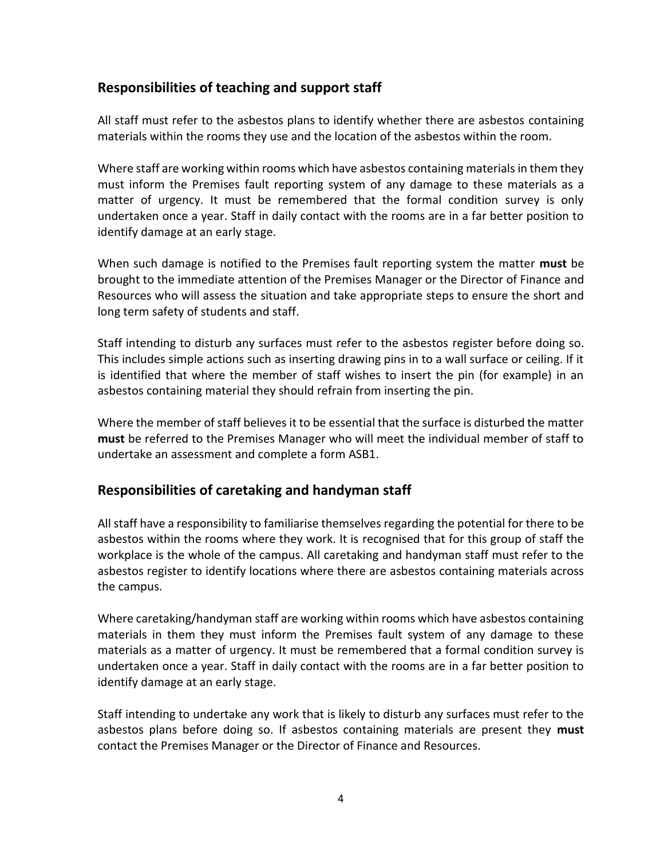### **Responsibilities of teaching and support staff**

All staff must refer to the asbestos plans to identify whether there are asbestos containing materials within the rooms they use and the location of the asbestos within the room.

Where staff are working within rooms which have asbestos containing materials in them they must inform the Premises fault reporting system of any damage to these materials as a matter of urgency. It must be remembered that the formal condition survey is only undertaken once a year. Staff in daily contact with the rooms are in a far better position to identify damage at an early stage.

When such damage is notified to the Premises fault reporting system the matter **must** be brought to the immediate attention of the Premises Manager or the Director of Finance and Resources who will assess the situation and take appropriate steps to ensure the short and long term safety of students and staff.

Staff intending to disturb any surfaces must refer to the asbestos register before doing so. This includes simple actions such as inserting drawing pins in to a wall surface or ceiling. If it is identified that where the member of staff wishes to insert the pin (for example) in an asbestos containing material they should refrain from inserting the pin.

Where the member of staff believes it to be essential that the surface is disturbed the matter **must** be referred to the Premises Manager who will meet the individual member of staff to undertake an assessment and complete a form ASB1.

#### **Responsibilities of caretaking and handyman staff**

All staff have a responsibility to familiarise themselves regarding the potential for there to be asbestos within the rooms where they work. It is recognised that for this group of staff the workplace is the whole of the campus. All caretaking and handyman staff must refer to the asbestos register to identify locations where there are asbestos containing materials across the campus.

Where caretaking/handyman staff are working within rooms which have asbestos containing materials in them they must inform the Premises fault system of any damage to these materials as a matter of urgency. It must be remembered that a formal condition survey is undertaken once a year. Staff in daily contact with the rooms are in a far better position to identify damage at an early stage.

Staff intending to undertake any work that is likely to disturb any surfaces must refer to the asbestos plans before doing so. If asbestos containing materials are present they **must** contact the Premises Manager or the Director of Finance and Resources.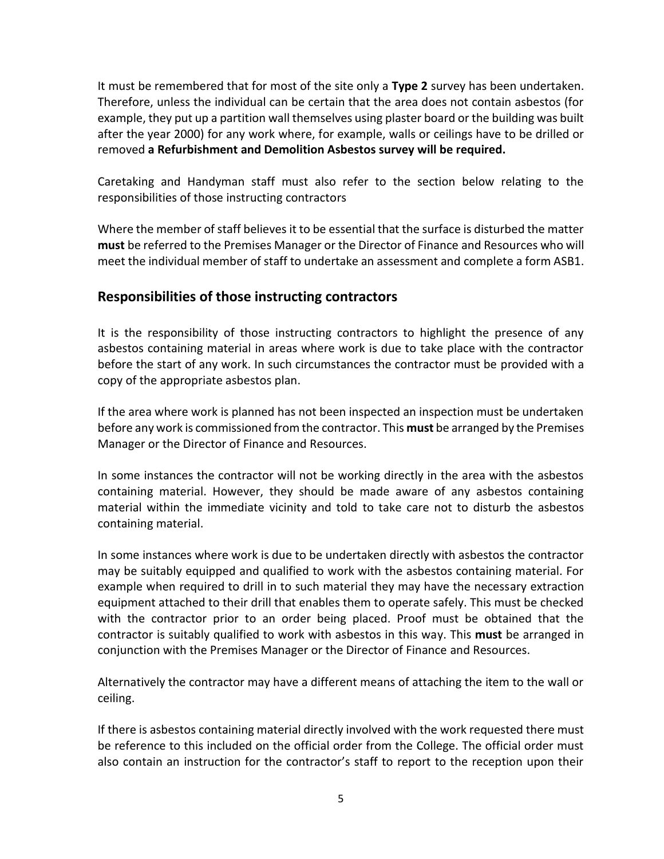It must be remembered that for most of the site only a **Type 2** survey has been undertaken. Therefore, unless the individual can be certain that the area does not contain asbestos (for example, they put up a partition wall themselves using plaster board or the building was built after the year 2000) for any work where, for example, walls or ceilings have to be drilled or removed **a Refurbishment and Demolition Asbestos survey will be required.**

Caretaking and Handyman staff must also refer to the section below relating to the responsibilities of those instructing contractors

Where the member of staff believes it to be essential that the surface is disturbed the matter **must** be referred to the Premises Manager or the Director of Finance and Resources who will meet the individual member of staff to undertake an assessment and complete a form ASB1.

## **Responsibilities of those instructing contractors**

It is the responsibility of those instructing contractors to highlight the presence of any asbestos containing material in areas where work is due to take place with the contractor before the start of any work. In such circumstances the contractor must be provided with a copy of the appropriate asbestos plan.

If the area where work is planned has not been inspected an inspection must be undertaken before any work is commissioned from the contractor. This **must** be arranged by the Premises Manager or the Director of Finance and Resources.

In some instances the contractor will not be working directly in the area with the asbestos containing material. However, they should be made aware of any asbestos containing material within the immediate vicinity and told to take care not to disturb the asbestos containing material.

In some instances where work is due to be undertaken directly with asbestos the contractor may be suitably equipped and qualified to work with the asbestos containing material. For example when required to drill in to such material they may have the necessary extraction equipment attached to their drill that enables them to operate safely. This must be checked with the contractor prior to an order being placed. Proof must be obtained that the contractor is suitably qualified to work with asbestos in this way. This **must** be arranged in conjunction with the Premises Manager or the Director of Finance and Resources.

Alternatively the contractor may have a different means of attaching the item to the wall or ceiling.

If there is asbestos containing material directly involved with the work requested there must be reference to this included on the official order from the College. The official order must also contain an instruction for the contractor's staff to report to the reception upon their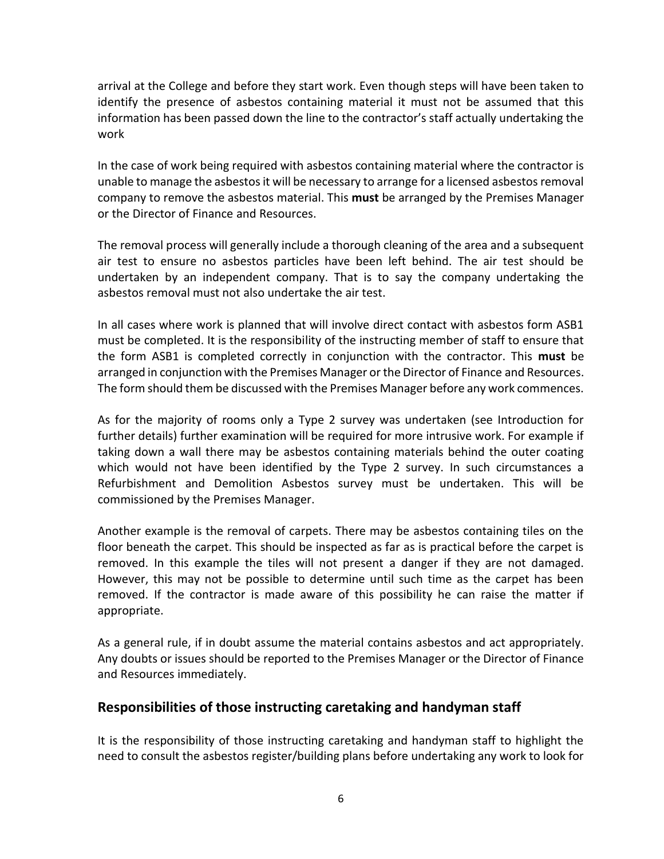arrival at the College and before they start work. Even though steps will have been taken to identify the presence of asbestos containing material it must not be assumed that this information has been passed down the line to the contractor's staff actually undertaking the work

In the case of work being required with asbestos containing material where the contractor is unable to manage the asbestos it will be necessary to arrange for a licensed asbestos removal company to remove the asbestos material. This **must** be arranged by the Premises Manager or the Director of Finance and Resources.

The removal process will generally include a thorough cleaning of the area and a subsequent air test to ensure no asbestos particles have been left behind. The air test should be undertaken by an independent company. That is to say the company undertaking the asbestos removal must not also undertake the air test.

In all cases where work is planned that will involve direct contact with asbestos form ASB1 must be completed. It is the responsibility of the instructing member of staff to ensure that the form ASB1 is completed correctly in conjunction with the contractor. This **must** be arranged in conjunction with the Premises Manager or the Director of Finance and Resources. The form should them be discussed with the Premises Manager before any work commences.

As for the majority of rooms only a Type 2 survey was undertaken (see Introduction for further details) further examination will be required for more intrusive work. For example if taking down a wall there may be asbestos containing materials behind the outer coating which would not have been identified by the Type 2 survey. In such circumstances a Refurbishment and Demolition Asbestos survey must be undertaken. This will be commissioned by the Premises Manager.

Another example is the removal of carpets. There may be asbestos containing tiles on the floor beneath the carpet. This should be inspected as far as is practical before the carpet is removed. In this example the tiles will not present a danger if they are not damaged. However, this may not be possible to determine until such time as the carpet has been removed. If the contractor is made aware of this possibility he can raise the matter if appropriate.

As a general rule, if in doubt assume the material contains asbestos and act appropriately. Any doubts or issues should be reported to the Premises Manager or the Director of Finance and Resources immediately.

#### **Responsibilities of those instructing caretaking and handyman staff**

It is the responsibility of those instructing caretaking and handyman staff to highlight the need to consult the asbestos register/building plans before undertaking any work to look for